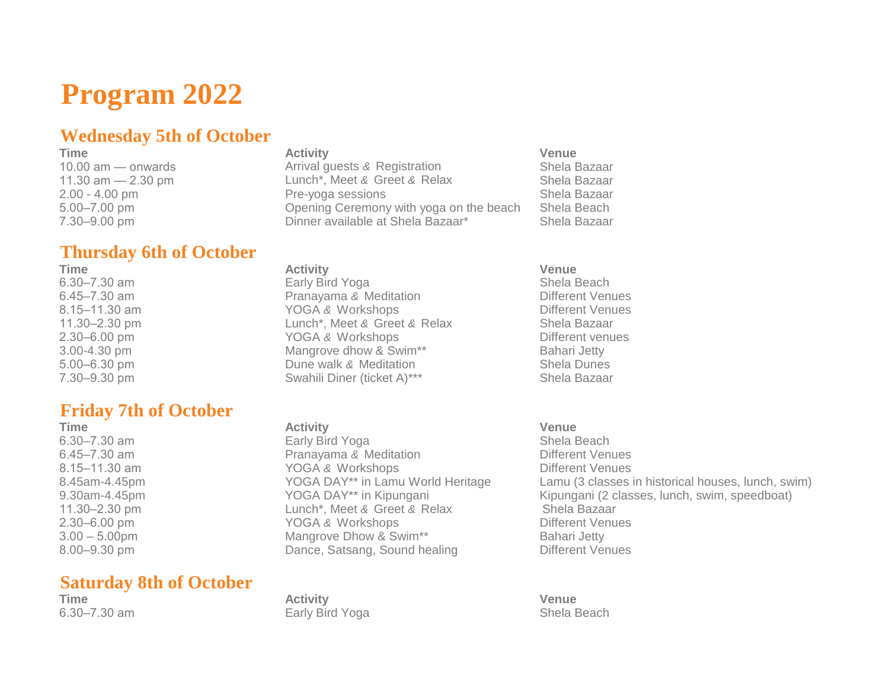# **Program 2022**

## **Wednesday 5th of October**

## **Thursday 6th of October**

### **Friday 7th of October**

**Time Activity Venue**

### **Saturday 8th of October**

**Time Activity Venue** 10.00 am — onwards Arrival guests *&* Registration Shela Bazaar 11.30 am — 2.30 pm Lunch\*, Meet *&* Greet *&* Relax Shela Bazaar 2.00 - 4.00 pm Pre-yoga sessions Shela Bazaar 5.00–7.00 pm Opening Ceremony with yoga on the beach Shela Beach 7.30–9.00 pm Dinner available at Shela Bazaar\* Shela Bazaar

**Time Activity Venue**

6.30–7.30 am Early Bird Yoga Shela Beach 6.45–7.30 am **Different Venues** Pranayama & Meditation **Different Venues** 8.15–11.30 am **South American** YOGA & Workshops **Different Venues** Different Venues 11.30–2.30 pm Lunch\*, Meet *&* Greet *&* Relax Shela Bazaar 2.30–6.00 pm YOGA *&* Workshops Different venues 3.00-4.30 pm Mangrove dhow & Swim\*\* Bahari Jetty 5.00–6.30 pm Dune walk *&* Meditation Shela Dunes 7.30–9.30 pm Swahili Diner (ticket A)\*\*\* Shela Bazaar

6.30–7.30 am Early Bird Yoga Shela Beach 6.45–7.30 am **Different Venues** Pranayama & Meditation **Different Venues** 8.15–11.30 am **South American** YOGA & Workshops **Different Venues** Different Venues 11.30–2.30 pm Lunch\*, Meet *&* Greet *&* Relax Shela Bazaar 2.30–6.00 pm **YOGA & Workshops** Different Venues 3.00 – 5.00pm Mangrove Dhow & Swim\*\* Bahari Jetty 8.00–9.30 pm Dance, Satsang, Sound healing Different Venues

**Time Activity Venue** 6.30–7.30 am Early Bird Yoga Shela Beach

8.45am-4.45pm YOGA DAY\*\* in Lamu World Heritage Lamu (3 classes in historical houses, lunch, swim) 9.30am-4.45pm YOGA DAY\*\* in Kipungani Kipungani (2 classes, lunch, swim, speedboat)